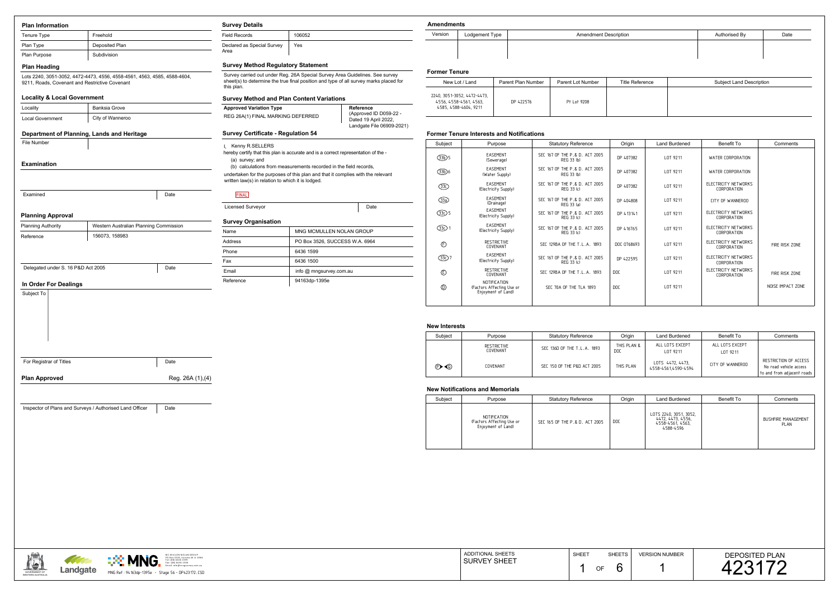**GOVERNMENT OFWESTERN AUSTRALIA**



### ments

|           | dments         |                    |                              |                        |                                 |               |      |  |  |  |
|-----------|----------------|--------------------|------------------------------|------------------------|---------------------------------|---------------|------|--|--|--|
| on        | Lodgement Type |                    | <b>Amendment Description</b> |                        |                                 | Authorised By | Date |  |  |  |
|           |                |                    |                              |                        |                                 |               |      |  |  |  |
|           |                |                    |                              |                        |                                 |               |      |  |  |  |
| er Tenure |                |                    |                              |                        |                                 |               |      |  |  |  |
|           | New Lot / Land | Parent Plan Number | Parent Lot Number            | <b>Title Reference</b> | <b>Subject Land Description</b> |               |      |  |  |  |

# **Former Tenure Interests and Notifications**

## **New Notifications and Memorials**

|                                                  | MC MULLEN NOLAN GROUP<br>----                                                      | <b>DITIONAL SHEETS</b><br>ADE | <b>SHEET</b> | <b>SHEETS</b> | <b>VERSION NUMBER</b> | <b>DEPOSITED PLAN</b> |
|--------------------------------------------------|------------------------------------------------------------------------------------|-------------------------------|--------------|---------------|-----------------------|-----------------------|
| <b>The Company of the Company of the Company</b> | U Box 3526, Success W.A. 6964<br>Tel: (08) 6436 1599<br>Fax: (08) 6436 1500<br>VIN | <b>I SURVEY SHEET</b>         |              | ∩F            |                       |                       |
| Landgate                                         | - DP423172.CSD<br>ING Ref<br>~f:94163dp-1395e - Stage 56 - ы                       |                               |              |               |                       |                       |

| <b>Plan Information</b>                        |                                                                          |                   | <b>Survey Details</b>                                                                                                                                                               |                                                                             |                                  |      | <b>Amendments</b>                   |    |
|------------------------------------------------|--------------------------------------------------------------------------|-------------------|-------------------------------------------------------------------------------------------------------------------------------------------------------------------------------------|-----------------------------------------------------------------------------|----------------------------------|------|-------------------------------------|----|
| Tenure Type                                    | Freehold                                                                 |                   | <b>Field Records</b>                                                                                                                                                                | 106052                                                                      |                                  |      | Version                             | L) |
| Plan Type                                      | Deposited Plan                                                           |                   | Declared as Special Survey                                                                                                                                                          | Yes                                                                         |                                  |      |                                     |    |
| Plan Purpose                                   | Subdivision                                                              |                   | Area                                                                                                                                                                                |                                                                             |                                  |      |                                     |    |
| <b>Plan Heading</b>                            |                                                                          |                   | <b>Survey Method Regulatory Statement</b>                                                                                                                                           |                                                                             |                                  |      |                                     |    |
| 9211, Roads, Covenant and Restrictive Covenant | Lots 2240, 3051-3052, 4472-4473, 4556, 4558-4561, 4563, 4585, 4588-4604, |                   | Survey carried out under Reg. 26A Special Survey Area Guidelines. See survey<br>sheet(s) to determine the true final position and type of all survey marks placed for<br>this plan. |                                                                             |                                  |      | <b>Former Tenure</b><br>New Lot / L |    |
| <b>Locality &amp; Local Government</b>         |                                                                          |                   | <b>Survey Method and Plan Content Variations</b>                                                                                                                                    |                                                                             | 2240, 3051-3052, 4               |      |                                     |    |
| <b>Banksia Grove</b><br>Locality               |                                                                          |                   | <b>Approved Variation Type</b>                                                                                                                                                      | Reference                                                                   | 4556, 4558-456<br>4585, 4588-460 |      |                                     |    |
| <b>Local Government</b>                        | City of Wanneroo                                                         |                   | REG 26A(1) FINAL MARKING DEFERRED                                                                                                                                                   | (Approved ID D059-22 -<br>Dated 19 April 2022,<br>Landgate File 06909-2021) |                                  |      |                                     |    |
|                                                | Department of Planning, Lands and Heritage                               |                   | <b>Survey Certificate - Regulation 54</b>                                                                                                                                           |                                                                             |                                  |      | <b>Former Tenure</b>                |    |
| File Number                                    |                                                                          |                   | Kenny R.SELLERS                                                                                                                                                                     |                                                                             |                                  |      | Subject                             |    |
|                                                |                                                                          |                   | hereby certify that this plan is accurate and is a correct representation of the -                                                                                                  |                                                                             |                                  |      | $(B)$ 5                             |    |
| <b>Examination</b>                             |                                                                          |                   | (a) survey; and<br>(b) calculations from measurements recorded in the field records,                                                                                                |                                                                             |                                  |      |                                     |    |
|                                                |                                                                          |                   | undertaken for the purposes of this plan and that it complies with the relevant<br>written law(s) in relation to which it is lodged.                                                |                                                                             |                                  |      | B6<br>$\circled{3}$                 |    |
| Examined                                       |                                                                          | Date              | <b>FINAL</b>                                                                                                                                                                        |                                                                             |                                  |      |                                     |    |
|                                                |                                                                          |                   | <b>Licensed Surveyor</b>                                                                                                                                                            |                                                                             |                                  | Date | $\circled{3}$                       |    |
| <b>Planning Approval</b>                       |                                                                          |                   |                                                                                                                                                                                     |                                                                             |                                  |      | $\bigcirc$ 5                        |    |
| <b>Planning Authority</b>                      | Western Australian Planning Commission                                   |                   | <b>Survey Organisation</b>                                                                                                                                                          |                                                                             |                                  |      | $\bigcirc$ <sub>1</sub>             |    |
| Reference                                      | 156073, 158983                                                           |                   | Name                                                                                                                                                                                | MNG MCMULLEN NOLAN GROUP                                                    |                                  |      |                                     |    |
|                                                |                                                                          |                   | Address                                                                                                                                                                             | PO Box 3526, SUCCESS W.A. 6964                                              |                                  |      | $\circled$                          |    |
|                                                |                                                                          |                   | Phone                                                                                                                                                                               | 6436 1599                                                                   |                                  |      | $\bigcirc$ <sub>30</sub> 7          |    |
| Delegated under S. 16 P&D Act 2005             |                                                                          | Date              | Fax<br>6436 1500<br>info @ mngsurvey.com.au<br>Email<br>94163dp-1395e                                                                                                               |                                                                             |                                  |      |                                     |    |
|                                                |                                                                          |                   |                                                                                                                                                                                     |                                                                             |                                  |      | $^{\circledR}$                      |    |
| In Order For Dealings                          |                                                                          |                   | Reference                                                                                                                                                                           |                                                                             |                                  |      | $^{\circledR}$                      |    |
| Subject To                                     |                                                                          |                   |                                                                                                                                                                                     |                                                                             |                                  |      |                                     |    |
|                                                |                                                                          |                   |                                                                                                                                                                                     |                                                                             |                                  |      | <b>New Interests</b>                |    |
|                                                |                                                                          |                   |                                                                                                                                                                                     |                                                                             |                                  |      |                                     |    |
|                                                |                                                                          |                   |                                                                                                                                                                                     |                                                                             |                                  |      |                                     |    |
|                                                |                                                                          |                   |                                                                                                                                                                                     |                                                                             |                                  |      | Subject                             |    |
|                                                |                                                                          |                   |                                                                                                                                                                                     |                                                                             |                                  |      |                                     |    |
| For Registrar of Titles                        |                                                                          | Date              |                                                                                                                                                                                     |                                                                             |                                  |      |                                     |    |
| <b>Plan Approved</b>                           |                                                                          | Reg. 26A (1), (4) |                                                                                                                                                                                     |                                                                             |                                  |      | $\mathbf{O}$                        |    |
|                                                |                                                                          |                   |                                                                                                                                                                                     |                                                                             |                                  |      | <b>New Notificatio</b>              |    |
|                                                |                                                                          |                   |                                                                                                                                                                                     |                                                                             |                                  |      | Subject                             |    |
|                                                | Inspector of Plans and Surveys / Authorised Land Officer                 | Date              |                                                                                                                                                                                     |                                                                             |                                  |      |                                     |    |
|                                                |                                                                          |                   |                                                                                                                                                                                     |                                                                             |                                  |      |                                     |    |
|                                                |                                                                          |                   |                                                                                                                                                                                     |                                                                             |                                  |      |                                     |    |
|                                                |                                                                          |                   |                                                                                                                                                                                     |                                                                             |                                  |      |                                     |    |

| $IV$ $UV$ $LU$ $I$ $L$ $All$                                                   | alchi Fiall Nullivci | $\alpha$ icht Lut Number | <u>HILE INCICI CHUC</u> | <b>OUDICAL LATIO DESCRIPTION</b> |
|--------------------------------------------------------------------------------|----------------------|--------------------------|-------------------------|----------------------------------|
| 2240, 3051-3052, 4472-4473,<br>4556, 4558-4561, 4563,<br>4585, 4588-4604, 9211 | DP 422576            | Pt Lot 9208              |                         |                                  |

| oject                    | Purpose                                                         | <b>Statutory Reference</b>                   | Origin      | <b>Land Burdened</b> | <b>Benefit To</b>                          | Comments          |
|--------------------------|-----------------------------------------------------------------|----------------------------------------------|-------------|----------------------|--------------------------------------------|-------------------|
| ந்)5                     | <b>EASEMENT</b><br>(Sewerage)                                   | SEC 167 OF THE P.& D. ACT 2005<br>REG 33 (b) | DP 407382   | LOT 9211             | WATER CORPORATION                          |                   |
| D6                       | <b>EASEMENT</b><br>(Water Supply)                               | SEC 167 OF THE P.& D. ACT 2005<br>REG 33 (b) | DP 407382   | LOT 9211             | WATER CORPORATION                          |                   |
| $\overline{\mathrm{3O}}$ | <b>EASEMENT</b><br>(Electricity Supply)                         | SEC 167 OF THE P.& D. ACT 2005<br>REG 33 (c) | DP 407382   | LOT 9211             | ELECTRICITY NETWORKS<br>CORPORATION        |                   |
| <u>B)</u>                | <b>EASEMENT</b><br>(Drainage)                                   | SEC 167 OF THE P.& D. ACT 2005<br>REG 33 (a) | DP 404808   | LOT 9211             | CITY OF WANNEROO                           |                   |
| D5                       | <b>EASEMENT</b><br>(Electricity Supply)                         | SEC 167 OF THE P.& D. ACT 2005<br>REG 33 (c) | DP 413141   | LOT 9211             | ELECTRICITY NETWORKS<br><b>CORPORATION</b> |                   |
| D 1                      | <b>EASEMENT</b><br>(Electricity Supply)                         | SEC 167 OF THE P.& D. ACT 2005<br>REG 33 (c) | DP 416765   | LOT 9211             | ELECTRICITY NETWORKS<br>CORPORATION        |                   |
| Đ                        | <b>RESTRICTIVE</b><br>COVENANT                                  | SEC 129BA OF THE T.L.A. 1893                 | DOC 0768693 | LOT 9211             | ELECTRICITY NETWORKS<br>CORPORATION        | FIRE RISK ZONE    |
| 3O 7                     | EASEMENT<br>(Electricity Supply)                                | SEC 167 OF THE P.& D. ACT 2005<br>REG 33 (c) | DP 422595   | LOT 9211             | ELECTRICITY NETWORKS<br><b>CORPORATION</b> |                   |
| Đ                        | <b>RESTRICTIVE</b><br>COVENANT                                  | SEC 129BA OF THE T.L.A. 1893                 | <b>DOC</b>  | LOT 9211             | ELECTRICITY NETWORKS<br><b>CORPORATION</b> | FIRE RISK ZONE    |
| D                        | NOTIFICATION<br>(Factors Affecting Use or<br>Enjoyment of Land) | SEC 70A OF THE TLA 1893                      | <b>DOC</b>  | LOT 9211             |                                            | NOISE IMPACT ZONE |
|                          |                                                                 |                                              |             |                      |                                            |                   |

| Subject                   | Purpose                 | <b>Statutory Reference</b>  | Origin             | Land Burdened                           | <b>Benefit To</b>           | Comments                                                                      |
|---------------------------|-------------------------|-----------------------------|--------------------|-----------------------------------------|-----------------------------|-------------------------------------------------------------------------------|
|                           | RESTRICTIVE<br>COVENANT | SEC 136D OF THE T.L.A. 1893 | THIS PLAN &<br>DOC | ALL LOTS EXCEPT<br>LOT 9211             | ALL LOTS EXCEPT<br>LOT 9211 |                                                                               |
| $\mathbb{D}\, \mathbb{Q}$ | COVENANT                | SEC 150 OF THE P&D ACT 2005 | THIS PLAN          | LOTS 4472, 4473,<br>4558-4561,4590-4594 | CITY OF WANNEROO            | RESTRICTION OF ACCESS<br>No road vehicle access<br>to and from adjacent roads |

| Subject | Purpose                                                         | <b>Statutory Reference</b>     | Origin | Land Burdened                                                                | Benefit To | Comments                           |
|---------|-----------------------------------------------------------------|--------------------------------|--------|------------------------------------------------------------------------------|------------|------------------------------------|
|         | NOTIFICATION<br>(Factors Affecting Use or<br>Enjoyment of Land) | SEC 165 OF THE P.& D. ACT 2005 | DOC    | LOTS 2240, 3051, 3052,<br>4472, 4473, 4556,<br>4558-4561, 4563,<br>4588-4596 |            | BUSHFIRE MANAGEMENT<br><b>PLAN</b> |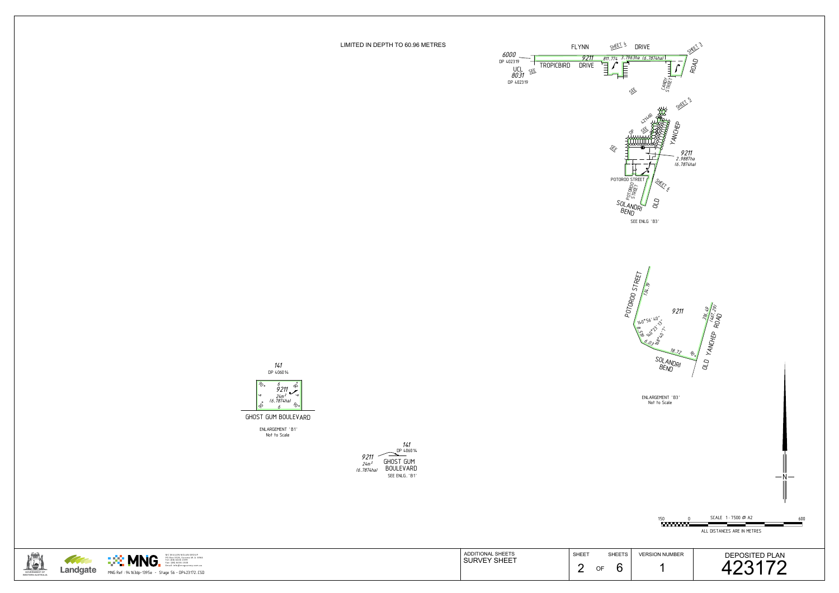



MC MULLEN NOLAN GROUP<br>PO Box 3526, Success W .A. 6964

LIMITED IN DEPTH TO 60.96 METRES

Not to Scale ENLARGEMENT 'B1'

GHOST GUM BOULEVARD







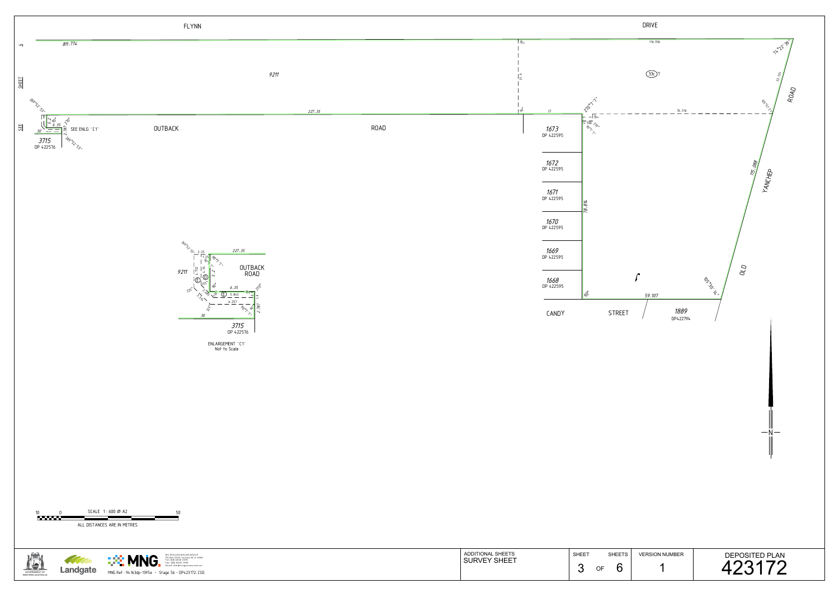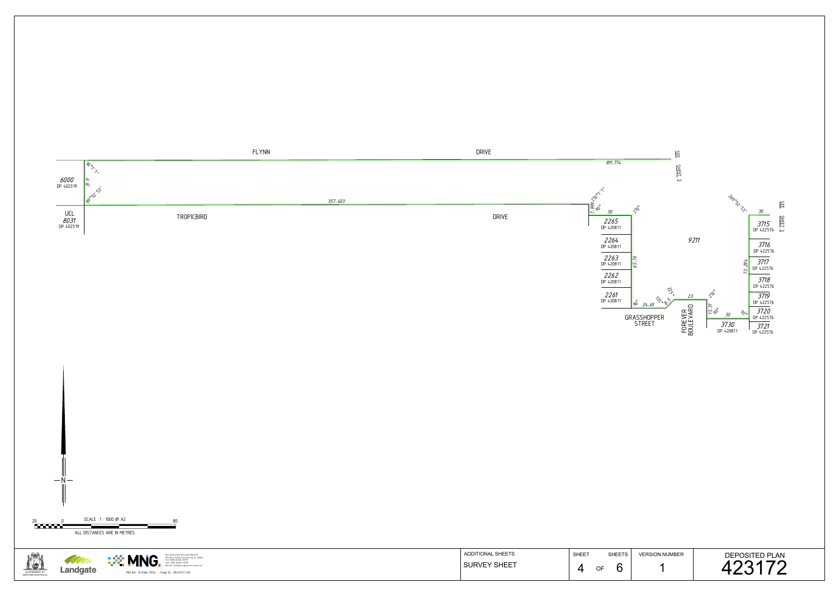

| <b>ADDITIONAL SHEETS</b> | <b>SHEET</b> | <b>SHEETS</b> | <b>VERSION NUMBER</b> | <b>DEPOSITED PLAN</b> |
|--------------------------|--------------|---------------|-----------------------|-----------------------|
| <b>SURVEY SHEET</b>      |              | OF            |                       |                       |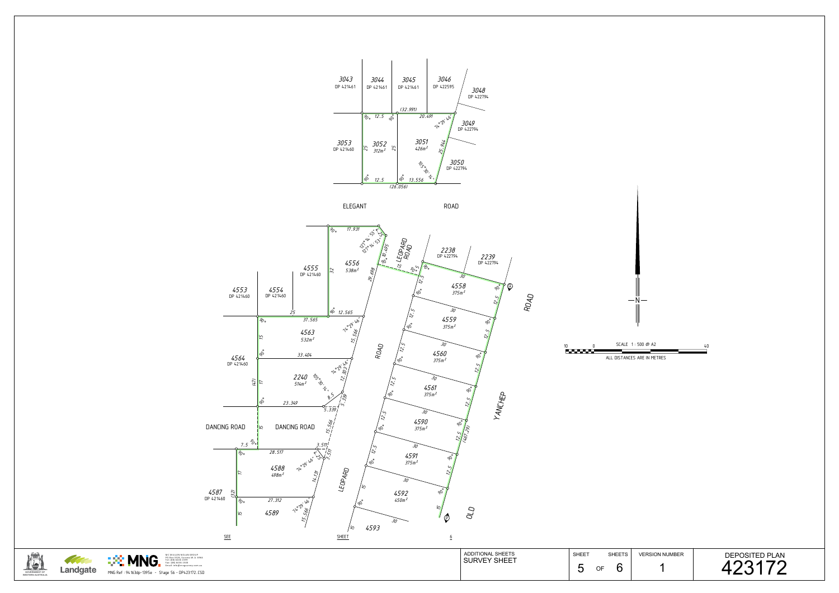![](_page_4_Picture_4.jpeg)

![](_page_4_Figure_0.jpeg)

![](_page_4_Figure_3.jpeg)

![](_page_4_Picture_5.jpeg)

MC MULLEN NOLAN GROUP<br>PO Box 3526, Success W .A. 6964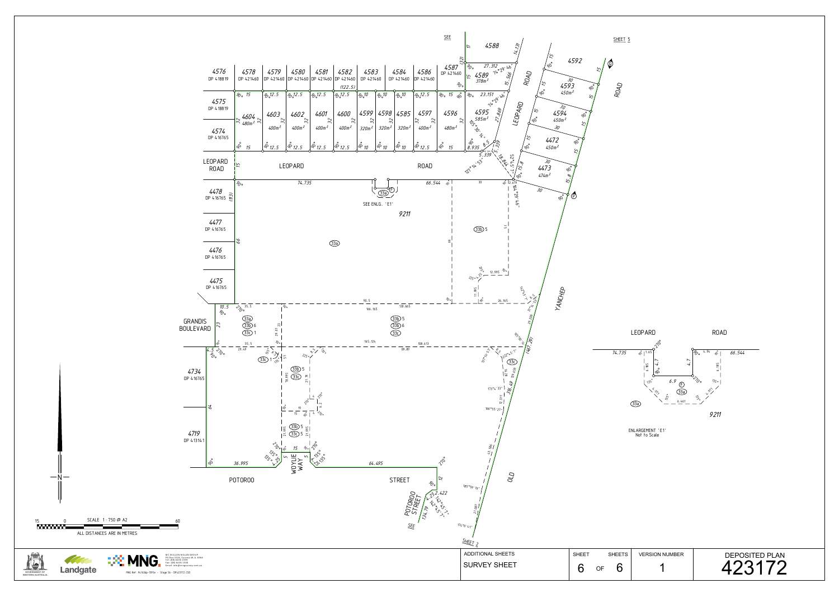![](_page_5_Figure_0.jpeg)

![](_page_5_Figure_1.jpeg)